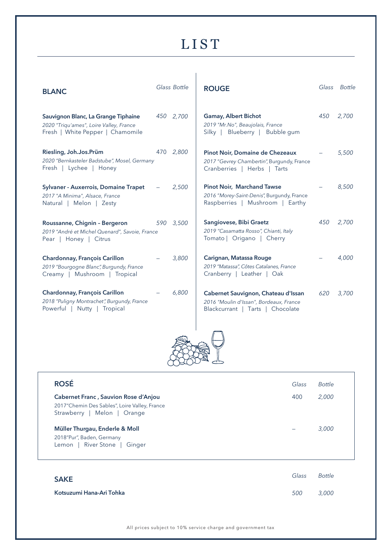## **LIST**

| <b>BLANC</b>                                                                                                       | Glass Bottle | <b>ROUGE</b>                                                                                                       |     | Glass Bottle |
|--------------------------------------------------------------------------------------------------------------------|--------------|--------------------------------------------------------------------------------------------------------------------|-----|--------------|
| Sauvignon Blanc, La Grange Tiphaine<br>2020 "Triqu'ames", Loire Valley, France<br>Fresh   White Pepper   Chamomile | 450 2,700    | <b>Gamay, Albert Bichot</b><br>2019 "Mr.No", Beaujolais, France<br>Silky   Blueberry   Bubble gum                  | 450 | 2,700        |
| Riesling, Joh.Jos.Prüm<br>2020 "Bernkasteler Badstube", Mosel, Germany<br>Fresh   Lychee   Honey                   | 470 2,800    | Pinot Noir, Domaine de Chezeaux<br>2017 "Gevrey Chambertin", Burgundy, France<br>Cranberries   Herbs   Tarts       |     | 5,500        |
| <b>Sylvaner - Auxerrois, Domaine Trapet</b><br>2017 "A Minima", Alsace, France<br>Natural   Melon   Zesty          | 2,500        | <b>Pinot Noir, Marchand Tawse</b><br>2016 "Morey-Saint-Denis", Burgundy, France<br>Raspberries   Mushroom   Earthy |     | 8,500        |
| Roussanne, Chignin - Bergeron<br>2019 "André et Michel Quenard", Savoie, France<br>Pear   Honey   Citrus           | 590 3,500    | Sangiovese, Bibi Graetz<br>2019 "Casamatta Rosso", Chianti, Italy<br>Tomato   Origano   Cherry                     | 450 | 2,700        |
| Chardonnay, François Carillon<br>2019 "Bourgogne Blanc", Burgundy, France<br>Creamy   Mushroom   Tropical          | 3,800        | Carignan, Matassa Rouge<br>2019 "Matassa", Côtes Catalanes, France<br>Cranberry   Leather   Oak                    |     | 4,000        |
| Chardonnay, François Carillon<br>2018 "Puligny Montrachet", Burgundy, France<br>Powerful   Nutty   Tropical        | 6,800        | Cabernet Sauvignon, Chateau d'Issan<br>2016 "Moulin d'Issan", Bordeaux, France<br>Blackcurrant   Tarts   Chocolate | 620 | 3,700        |
|                                                                                                                    |              |                                                                                                                    |     |              |

| <b>ROSÉ</b>                                                                                                                 | Glass                    | Bottle |
|-----------------------------------------------------------------------------------------------------------------------------|--------------------------|--------|
| <b>Cabernet Franc, Sauvion Rose d'Anjou</b><br>2017"Chemin Des Sables", Loire Valley, France<br>Strawberry   Melon   Orange | 400                      | 2,000  |
| Müller Thurgau, Enderle & Moll<br>2018"Pur", Baden, Germany<br>Lemon   River Stone  <br>Ginger                              | $\overline{\phantom{0}}$ | 3.000  |

| <b>SAKE</b>              | Glass | Bottle |
|--------------------------|-------|--------|
| Kotsuzumi Hana-Ari Tohka | 500   | 3,000  |

All prices subject to 10% service charge and government tax